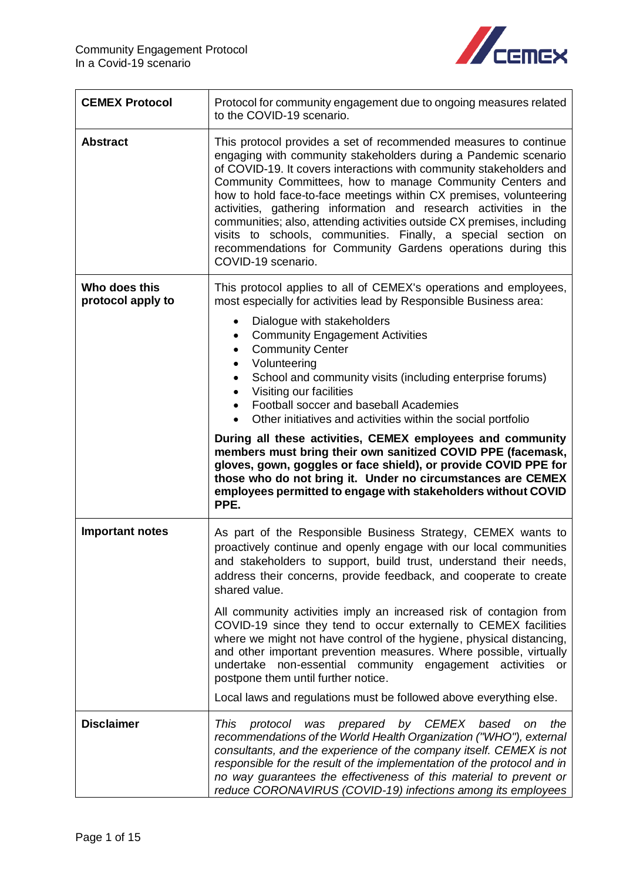

| <b>CEMEX Protocol</b>              | Protocol for community engagement due to ongoing measures related<br>to the COVID-19 scenario.                                                                                                                                                                                                                                                                                                                                                                                                                                                                                                                                                     |
|------------------------------------|----------------------------------------------------------------------------------------------------------------------------------------------------------------------------------------------------------------------------------------------------------------------------------------------------------------------------------------------------------------------------------------------------------------------------------------------------------------------------------------------------------------------------------------------------------------------------------------------------------------------------------------------------|
| <b>Abstract</b>                    | This protocol provides a set of recommended measures to continue<br>engaging with community stakeholders during a Pandemic scenario<br>of COVID-19. It covers interactions with community stakeholders and<br>Community Committees, how to manage Community Centers and<br>how to hold face-to-face meetings within CX premises, volunteering<br>activities, gathering information and research activities in the<br>communities; also, attending activities outside CX premises, including<br>visits to schools, communities. Finally, a special section on<br>recommendations for Community Gardens operations during this<br>COVID-19 scenario. |
| Who does this<br>protocol apply to | This protocol applies to all of CEMEX's operations and employees,<br>most especially for activities lead by Responsible Business area:<br>Dialogue with stakeholders<br>$\bullet$<br><b>Community Engagement Activities</b><br>$\bullet$<br><b>Community Center</b><br>$\bullet$<br>Volunteering<br>$\bullet$<br>School and community visits (including enterprise forums)<br>$\bullet$<br>Visiting our facilities<br>$\bullet$                                                                                                                                                                                                                    |
|                                    | Football soccer and baseball Academies<br>$\bullet$<br>Other initiatives and activities within the social portfolio<br>$\bullet$                                                                                                                                                                                                                                                                                                                                                                                                                                                                                                                   |
|                                    | During all these activities, CEMEX employees and community<br>members must bring their own sanitized COVID PPE (facemask,<br>gloves, gown, goggles or face shield), or provide COVID PPE for<br>those who do not bring it. Under no circumstances are CEMEX<br>employees permitted to engage with stakeholders without COVID<br>PPE.                                                                                                                                                                                                                                                                                                               |
| <b>Important notes</b>             | As part of the Responsible Business Strategy, CEMEX wants to<br>proactively continue and openly engage with our local communities<br>and stakeholders to support, build trust, understand their needs,<br>address their concerns, provide feedback, and cooperate to create<br>shared value.                                                                                                                                                                                                                                                                                                                                                       |
|                                    | All community activities imply an increased risk of contagion from<br>COVID-19 since they tend to occur externally to CEMEX facilities<br>where we might not have control of the hygiene, physical distancing,<br>and other important prevention measures. Where possible, virtually<br>undertake non-essential community engagement activities or<br>postpone them until further notice.<br>Local laws and regulations must be followed above everything else.                                                                                                                                                                                    |
|                                    |                                                                                                                                                                                                                                                                                                                                                                                                                                                                                                                                                                                                                                                    |
| <b>Disclaimer</b>                  | This<br>was prepared by CEMEX<br>based<br>the<br>protocol<br>on.<br>recommendations of the World Health Organization ("WHO"), external<br>consultants, and the experience of the company itself. CEMEX is not<br>responsible for the result of the implementation of the protocol and in<br>no way guarantees the effectiveness of this material to prevent or<br>reduce CORONAVIRUS (COVID-19) infections among its employees                                                                                                                                                                                                                     |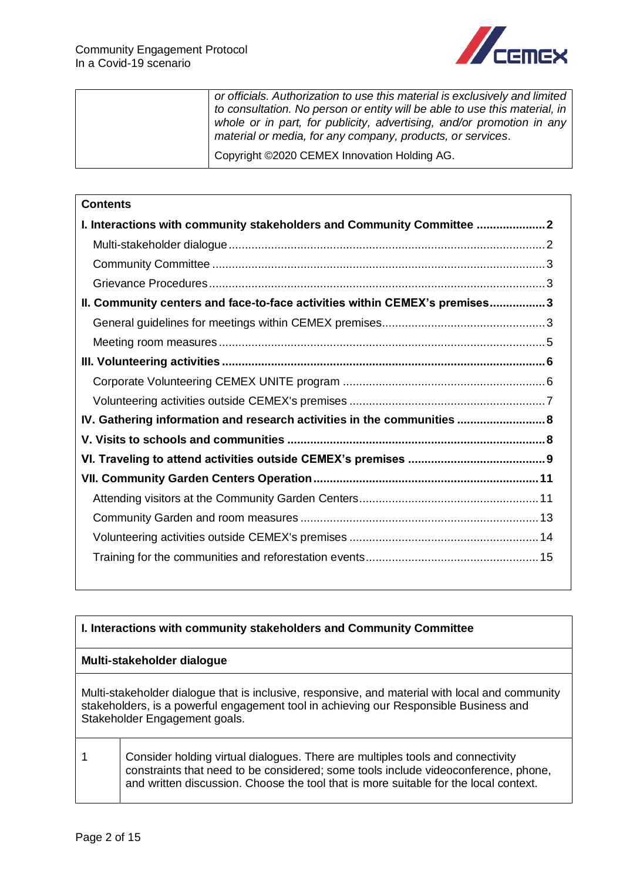

| or officials. Authorization to use this material is exclusively and limited<br>to consultation. No person or entity will be able to use this material, in<br>whole or in part, for publicity, advertising, and/or promotion in any<br>material or media, for any company, products, or services. |
|--------------------------------------------------------------------------------------------------------------------------------------------------------------------------------------------------------------------------------------------------------------------------------------------------|
| Copyright ©2020 CEMEX Innovation Holding AG.                                                                                                                                                                                                                                                     |

# **Contents [I. Interactions with community stakeholders and Community Committee](#page-1-0) .....................2** [Multi-stakeholder dialogue.................................................................................................2](#page-1-1) Community Committee [......................................................................................................3](#page-2-0) [Grievance Procedures.......................................................................................................3](#page-2-1) **[II. Community centers and face-to-face activities within CEMEX's premises.................3](#page-2-2)** [General guidelines for meetings within CEMEX premises..................................................3](#page-2-3) Meeting room measures [....................................................................................................5](#page-4-0) **III. Volunteering activities [...................................................................................................6](#page-5-0)** [Corporate Volunteering CEMEX UNITE program](#page-5-1) ..............................................................6 [Volunteering activities outside CEMEX's premises](#page-6-0) ............................................................7 **[IV. Gathering information and research activities in](#page-7-0) the communities ...........................8 V. Visits to schools and communities [...............................................................................8](#page-7-1) [VI. Traveling to attend activities outside CEMEX's premises](#page-8-0) ..........................................9 [VII. Community Garden Centers Operation.....................................................................11](#page-10-0)** [Attending visitors at the Community Garden Centers.......................................................11](#page-10-1) Community Garden and room measures [.........................................................................13](#page-12-0) [Volunteering activities outside CEMEX's premises](#page-13-0) ..........................................................14 [Training for the communities and reforestation events.....................................................15](#page-14-0)

<span id="page-1-1"></span><span id="page-1-0"></span>

| I. Interactions with community stakeholders and Community Committee                                                                                                                                                                                          |
|--------------------------------------------------------------------------------------------------------------------------------------------------------------------------------------------------------------------------------------------------------------|
| Multi-stakeholder dialogue                                                                                                                                                                                                                                   |
| Multi-stakeholder dialogue that is inclusive, responsive, and material with local and community<br>stakeholders, is a powerful engagement tool in achieving our Responsible Business and<br>Stakeholder Engagement goals.                                    |
| Consider holding virtual dialogues. There are multiples tools and connectivity<br>constraints that need to be considered; some tools include videoconference, phone,<br>and written discussion. Choose the tool that is more suitable for the local context. |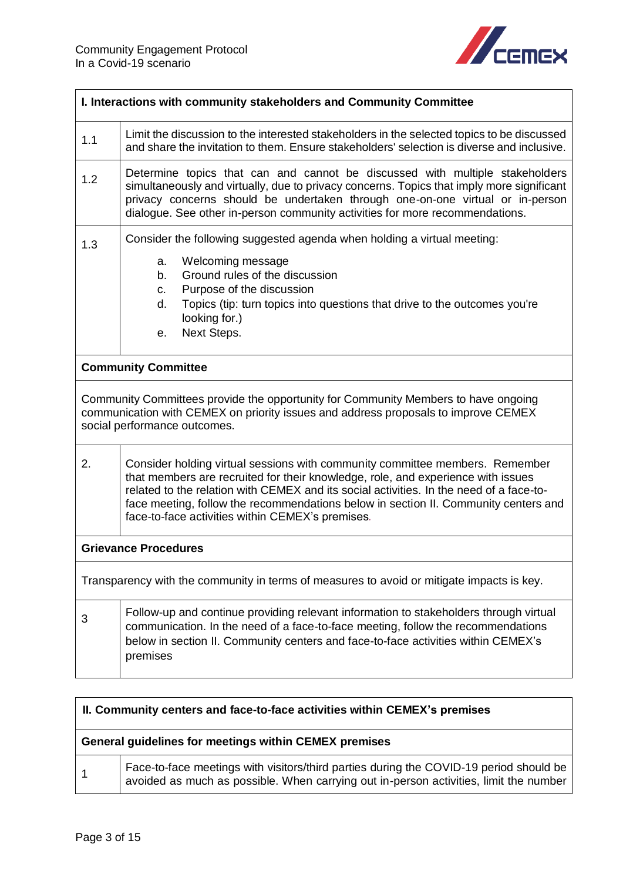

<span id="page-2-0"></span>

| I. Interactions with community stakeholders and Community Committee                                                                                                                                      |                                                                                                                                                                                                                                                                                                                                                                                                        |  |
|----------------------------------------------------------------------------------------------------------------------------------------------------------------------------------------------------------|--------------------------------------------------------------------------------------------------------------------------------------------------------------------------------------------------------------------------------------------------------------------------------------------------------------------------------------------------------------------------------------------------------|--|
| 1.1                                                                                                                                                                                                      | Limit the discussion to the interested stakeholders in the selected topics to be discussed<br>and share the invitation to them. Ensure stakeholders' selection is diverse and inclusive.                                                                                                                                                                                                               |  |
| 1.2                                                                                                                                                                                                      | Determine topics that can and cannot be discussed with multiple stakeholders<br>simultaneously and virtually, due to privacy concerns. Topics that imply more significant<br>privacy concerns should be undertaken through one-on-one virtual or in-person<br>dialogue. See other in-person community activities for more recommendations.                                                             |  |
| 1.3                                                                                                                                                                                                      | Consider the following suggested agenda when holding a virtual meeting:                                                                                                                                                                                                                                                                                                                                |  |
|                                                                                                                                                                                                          | Welcoming message<br>a.<br>Ground rules of the discussion<br>b.<br>Purpose of the discussion<br>C.<br>Topics (tip: turn topics into questions that drive to the outcomes you're<br>d.<br>looking for.)<br>Next Steps.<br>е.                                                                                                                                                                            |  |
|                                                                                                                                                                                                          | <b>Community Committee</b>                                                                                                                                                                                                                                                                                                                                                                             |  |
| Community Committees provide the opportunity for Community Members to have ongoing<br>communication with CEMEX on priority issues and address proposals to improve CEMEX<br>social performance outcomes. |                                                                                                                                                                                                                                                                                                                                                                                                        |  |
| 2.                                                                                                                                                                                                       | Consider holding virtual sessions with community committee members. Remember<br>that members are recruited for their knowledge, role, and experience with issues<br>related to the relation with CEMEX and its social activities. In the need of a face-to-<br>face meeting, follow the recommendations below in section II. Community centers and<br>face-to-face activities within CEMEX's premises. |  |
| <b>Grievance Procedures</b>                                                                                                                                                                              |                                                                                                                                                                                                                                                                                                                                                                                                        |  |
| Transparency with the community in terms of measures to avoid or mitigate impacts is key.                                                                                                                |                                                                                                                                                                                                                                                                                                                                                                                                        |  |
| 3                                                                                                                                                                                                        | Follow-up and continue providing relevant information to stakeholders through virtual<br>communication. In the need of a face-to-face meeting, follow the recommendations<br>below in section II. Community centers and face-to-face activities within CEMEX's<br>premises                                                                                                                             |  |

<span id="page-2-3"></span><span id="page-2-2"></span><span id="page-2-1"></span>

| II. Community centers and face-to-face activities within CEMEX's premises |                                                                                                                                                                                 |
|---------------------------------------------------------------------------|---------------------------------------------------------------------------------------------------------------------------------------------------------------------------------|
| General guidelines for meetings within CEMEX premises                     |                                                                                                                                                                                 |
| -1                                                                        | Face-to-face meetings with visitors/third parties during the COVID-19 period should be<br>avoided as much as possible. When carrying out in-person activities, limit the number |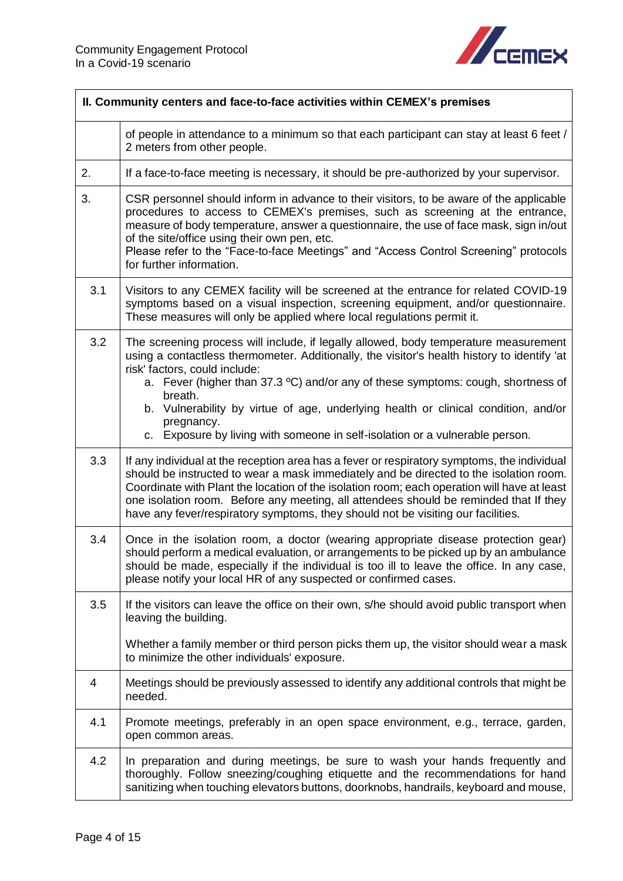

|     | II. Community centers and face-to-face activities within CEMEX's premises                                                                                                                                                                                                                                                                                                                                                                                                                               |  |
|-----|---------------------------------------------------------------------------------------------------------------------------------------------------------------------------------------------------------------------------------------------------------------------------------------------------------------------------------------------------------------------------------------------------------------------------------------------------------------------------------------------------------|--|
|     | of people in attendance to a minimum so that each participant can stay at least 6 feet /<br>2 meters from other people.                                                                                                                                                                                                                                                                                                                                                                                 |  |
| 2.  | If a face-to-face meeting is necessary, it should be pre-authorized by your supervisor.                                                                                                                                                                                                                                                                                                                                                                                                                 |  |
| 3.  | CSR personnel should inform in advance to their visitors, to be aware of the applicable<br>procedures to access to CEMEX's premises, such as screening at the entrance,<br>measure of body temperature, answer a questionnaire, the use of face mask, sign in/out<br>of the site/office using their own pen, etc.<br>Please refer to the "Face-to-face Meetings" and "Access Control Screening" protocols<br>for further information.                                                                   |  |
| 3.1 | Visitors to any CEMEX facility will be screened at the entrance for related COVID-19<br>symptoms based on a visual inspection, screening equipment, and/or questionnaire.<br>These measures will only be applied where local regulations permit it.                                                                                                                                                                                                                                                     |  |
| 3.2 | The screening process will include, if legally allowed, body temperature measurement<br>using a contactless thermometer. Additionally, the visitor's health history to identify 'at<br>risk' factors, could include:<br>a. Fever (higher than 37.3 °C) and/or any of these symptoms: cough, shortness of<br>breath.<br>b. Vulnerability by virtue of age, underlying health or clinical condition, and/or<br>pregnancy.<br>c. Exposure by living with someone in self-isolation or a vulnerable person. |  |
| 3.3 | If any individual at the reception area has a fever or respiratory symptoms, the individual<br>should be instructed to wear a mask immediately and be directed to the isolation room.<br>Coordinate with Plant the location of the isolation room; each operation will have at least<br>one isolation room. Before any meeting, all attendees should be reminded that If they<br>have any fever/respiratory symptoms, they should not be visiting our facilities.                                       |  |
| 3.4 | Once in the isolation room, a doctor (wearing appropriate disease protection gear)<br>should perform a medical evaluation, or arrangements to be picked up by an ambulance<br>should be made, especially if the individual is too ill to leave the office. In any case,<br>please notify your local HR of any suspected or confirmed cases.                                                                                                                                                             |  |
| 3.5 | If the visitors can leave the office on their own, s/he should avoid public transport when<br>leaving the building.                                                                                                                                                                                                                                                                                                                                                                                     |  |
|     | Whether a family member or third person picks them up, the visitor should wear a mask<br>to minimize the other individuals' exposure.                                                                                                                                                                                                                                                                                                                                                                   |  |
| 4   | Meetings should be previously assessed to identify any additional controls that might be<br>needed.                                                                                                                                                                                                                                                                                                                                                                                                     |  |
| 4.1 | Promote meetings, preferably in an open space environment, e.g., terrace, garden,<br>open common areas.                                                                                                                                                                                                                                                                                                                                                                                                 |  |
| 4.2 | In preparation and during meetings, be sure to wash your hands frequently and<br>thoroughly. Follow sneezing/coughing etiquette and the recommendations for hand<br>sanitizing when touching elevators buttons, doorknobs, handrails, keyboard and mouse,                                                                                                                                                                                                                                               |  |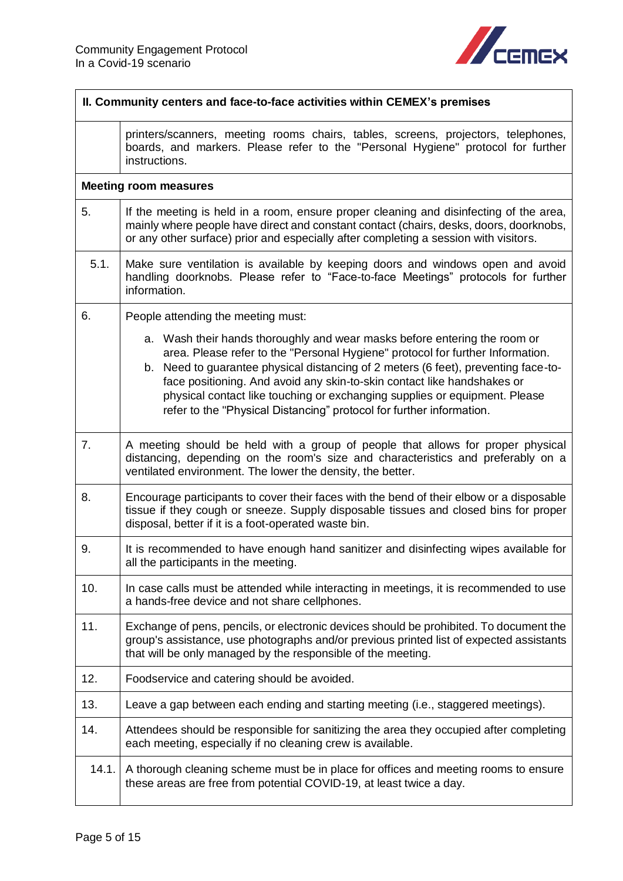

<span id="page-4-0"></span>

| II. Community centers and face-to-face activities within CEMEX's premises |                                                                                                                                                                                                                                                                                                                                                                                                                                                                                    |
|---------------------------------------------------------------------------|------------------------------------------------------------------------------------------------------------------------------------------------------------------------------------------------------------------------------------------------------------------------------------------------------------------------------------------------------------------------------------------------------------------------------------------------------------------------------------|
|                                                                           | printers/scanners, meeting rooms chairs, tables, screens, projectors, telephones,<br>boards, and markers. Please refer to the "Personal Hygiene" protocol for further<br>instructions.                                                                                                                                                                                                                                                                                             |
|                                                                           | <b>Meeting room measures</b>                                                                                                                                                                                                                                                                                                                                                                                                                                                       |
| 5.                                                                        | If the meeting is held in a room, ensure proper cleaning and disinfecting of the area,<br>mainly where people have direct and constant contact (chairs, desks, doors, doorknobs,<br>or any other surface) prior and especially after completing a session with visitors.                                                                                                                                                                                                           |
| 5.1.                                                                      | Make sure ventilation is available by keeping doors and windows open and avoid<br>handling doorknobs. Please refer to "Face-to-face Meetings" protocols for further<br>information.                                                                                                                                                                                                                                                                                                |
| 6.                                                                        | People attending the meeting must:                                                                                                                                                                                                                                                                                                                                                                                                                                                 |
|                                                                           | a. Wash their hands thoroughly and wear masks before entering the room or<br>area. Please refer to the "Personal Hygiene" protocol for further Information.<br>b. Need to guarantee physical distancing of 2 meters (6 feet), preventing face-to-<br>face positioning. And avoid any skin-to-skin contact like handshakes or<br>physical contact like touching or exchanging supplies or equipment. Please<br>refer to the "Physical Distancing" protocol for further information. |
| 7.                                                                        | A meeting should be held with a group of people that allows for proper physical<br>distancing, depending on the room's size and characteristics and preferably on a<br>ventilated environment. The lower the density, the better.                                                                                                                                                                                                                                                  |
| 8.                                                                        | Encourage participants to cover their faces with the bend of their elbow or a disposable<br>tissue if they cough or sneeze. Supply disposable tissues and closed bins for proper<br>disposal, better if it is a foot-operated waste bin.                                                                                                                                                                                                                                           |
| 9.                                                                        | It is recommended to have enough hand sanitizer and disinfecting wipes available for<br>all the participants in the meeting.                                                                                                                                                                                                                                                                                                                                                       |
| 10.                                                                       | In case calls must be attended while interacting in meetings, it is recommended to use<br>a hands-free device and not share cellphones.                                                                                                                                                                                                                                                                                                                                            |
| 11.                                                                       | Exchange of pens, pencils, or electronic devices should be prohibited. To document the<br>group's assistance, use photographs and/or previous printed list of expected assistants<br>that will be only managed by the responsible of the meeting.                                                                                                                                                                                                                                  |
| 12.                                                                       | Foodservice and catering should be avoided.                                                                                                                                                                                                                                                                                                                                                                                                                                        |
| 13.                                                                       | Leave a gap between each ending and starting meeting (i.e., staggered meetings).                                                                                                                                                                                                                                                                                                                                                                                                   |
| 14.                                                                       | Attendees should be responsible for sanitizing the area they occupied after completing<br>each meeting, especially if no cleaning crew is available.                                                                                                                                                                                                                                                                                                                               |
| 14.1.                                                                     | A thorough cleaning scheme must be in place for offices and meeting rooms to ensure<br>these areas are free from potential COVID-19, at least twice a day.                                                                                                                                                                                                                                                                                                                         |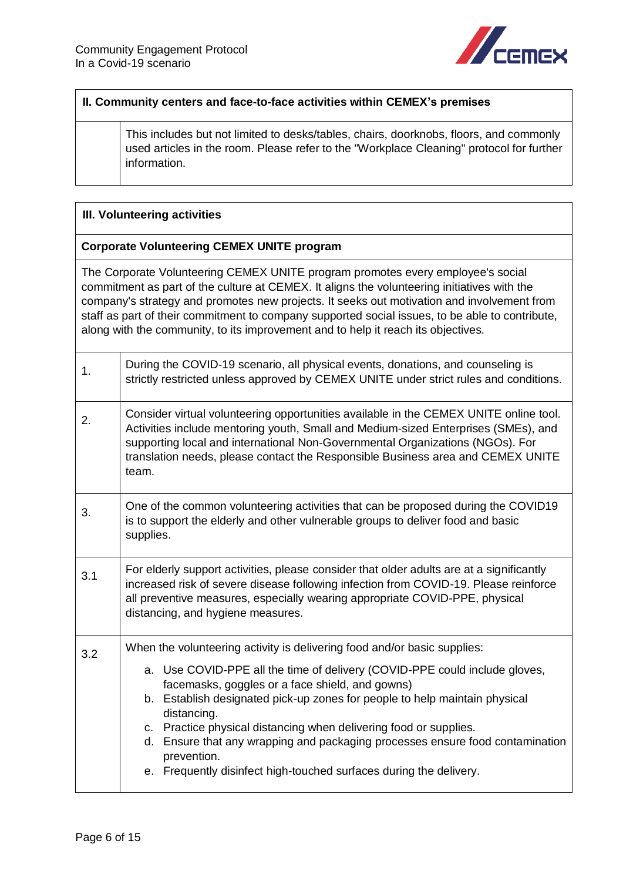

#### **II. Community centers and face-to-face activities within CEMEX's premises**

This includes but not limited to desks/tables, chairs, doorknobs, floors, and commonly used articles in the room. Please refer to the "Workplace Cleaning" protocol for further information.

#### <span id="page-5-0"></span>**III. Volunteering activities**

#### <span id="page-5-1"></span>**Corporate Volunteering CEMEX UNITE program**

The Corporate Volunteering CEMEX UNITE program promotes every employee's social commitment as part of the culture at CEMEX. It aligns the volunteering initiatives with the company's strategy and promotes new projects. It seeks out motivation and involvement from staff as part of their commitment to company supported social issues, to be able to contribute, along with the community, to its improvement and to help it reach its objectives.

| 1.  | During the COVID-19 scenario, all physical events, donations, and counseling is<br>strictly restricted unless approved by CEMEX UNITE under strict rules and conditions.                                                                                                                                                                                                                                                                                              |
|-----|-----------------------------------------------------------------------------------------------------------------------------------------------------------------------------------------------------------------------------------------------------------------------------------------------------------------------------------------------------------------------------------------------------------------------------------------------------------------------|
| 2.  | Consider virtual volunteering opportunities available in the CEMEX UNITE online tool.<br>Activities include mentoring youth, Small and Medium-sized Enterprises (SMEs), and<br>supporting local and international Non-Governmental Organizations (NGOs). For<br>translation needs, please contact the Responsible Business area and CEMEX UNITE<br>team.                                                                                                              |
| 3.  | One of the common volunteering activities that can be proposed during the COVID19<br>is to support the elderly and other vulnerable groups to deliver food and basic<br>supplies.                                                                                                                                                                                                                                                                                     |
| 3.1 | For elderly support activities, please consider that older adults are at a significantly<br>increased risk of severe disease following infection from COVID-19. Please reinforce<br>all preventive measures, especially wearing appropriate COVID-PPE, physical<br>distancing, and hygiene measures.                                                                                                                                                                  |
| 3.2 | When the volunteering activity is delivering food and/or basic supplies:                                                                                                                                                                                                                                                                                                                                                                                              |
|     | a. Use COVID-PPE all the time of delivery (COVID-PPE could include gloves,<br>facemasks, goggles or a face shield, and gowns)<br>b. Establish designated pick-up zones for people to help maintain physical<br>distancing.<br>c. Practice physical distancing when delivering food or supplies.<br>d. Ensure that any wrapping and packaging processes ensure food contamination<br>prevention.<br>e. Frequently disinfect high-touched surfaces during the delivery. |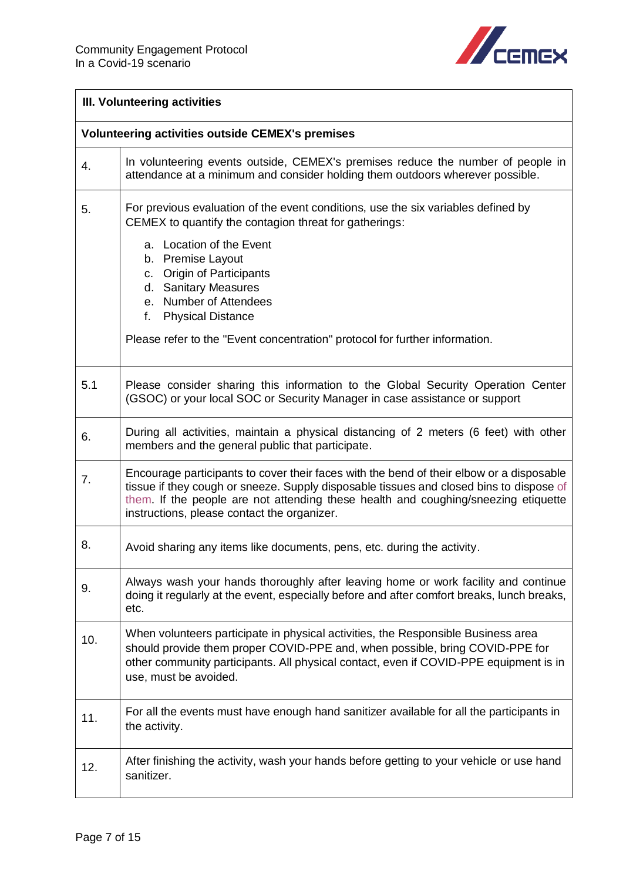

## **III. Volunteering activities**

<span id="page-6-0"></span>

|     | <b>Volunteering activities outside CEMEX's premises</b>                                                                                                                                                                                                                                                                  |
|-----|--------------------------------------------------------------------------------------------------------------------------------------------------------------------------------------------------------------------------------------------------------------------------------------------------------------------------|
| 4.  | In volunteering events outside, CEMEX's premises reduce the number of people in<br>attendance at a minimum and consider holding them outdoors wherever possible.                                                                                                                                                         |
| 5.  | For previous evaluation of the event conditions, use the six variables defined by<br>CEMEX to quantify the contagion threat for gatherings:                                                                                                                                                                              |
|     | a. Location of the Event<br>b. Premise Layout<br>c. Origin of Participants<br>d. Sanitary Measures<br>e. Number of Attendees<br><b>Physical Distance</b><br>f.                                                                                                                                                           |
|     | Please refer to the "Event concentration" protocol for further information.                                                                                                                                                                                                                                              |
| 5.1 | Please consider sharing this information to the Global Security Operation Center<br>(GSOC) or your local SOC or Security Manager in case assistance or support                                                                                                                                                           |
| 6.  | During all activities, maintain a physical distancing of 2 meters (6 feet) with other<br>members and the general public that participate.                                                                                                                                                                                |
| 7.  | Encourage participants to cover their faces with the bend of their elbow or a disposable<br>tissue if they cough or sneeze. Supply disposable tissues and closed bins to dispose of<br>them. If the people are not attending these health and coughing/sneezing etiquette<br>instructions, please contact the organizer. |
| 8.  | Avoid sharing any items like documents, pens, etc. during the activity.                                                                                                                                                                                                                                                  |
| 9.  | Always wash your hands thoroughly after leaving home or work facility and continue<br>doing it regularly at the event, especially before and after comfort breaks, lunch breaks,<br>etc.                                                                                                                                 |
| 10. | When volunteers participate in physical activities, the Responsible Business area<br>should provide them proper COVID-PPE and, when possible, bring COVID-PPE for<br>other community participants. All physical contact, even if COVID-PPE equipment is in<br>use, must be avoided.                                      |
| 11. | For all the events must have enough hand sanitizer available for all the participants in<br>the activity.                                                                                                                                                                                                                |
| 12. | After finishing the activity, wash your hands before getting to your vehicle or use hand<br>sanitizer.                                                                                                                                                                                                                   |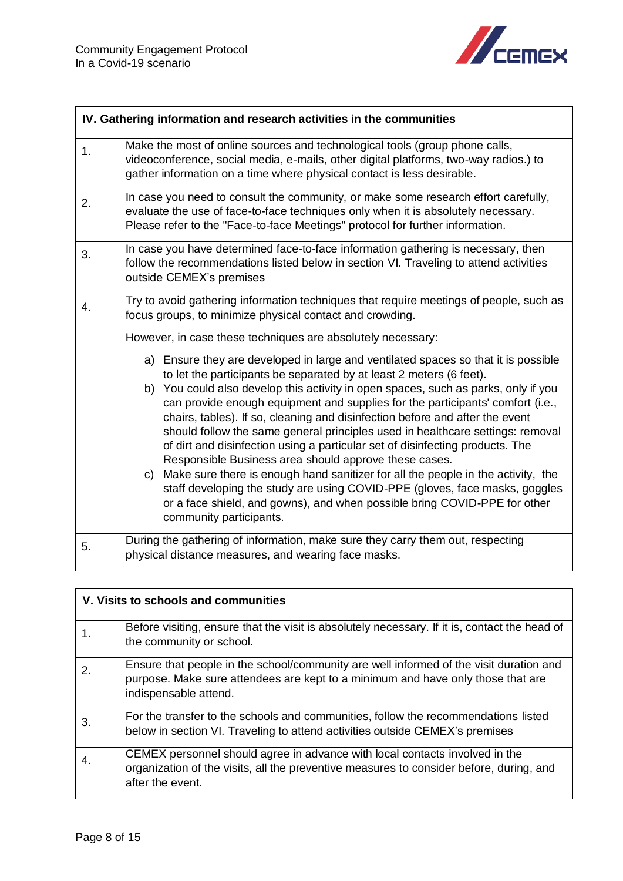

<span id="page-7-0"></span>

|    | IV. Gathering information and research activities in the communities                                                                                                                                                                                                                                                                                                                                                                                                                                                                                                                                                                                                                                                                                                                                                                                                                                                        |  |
|----|-----------------------------------------------------------------------------------------------------------------------------------------------------------------------------------------------------------------------------------------------------------------------------------------------------------------------------------------------------------------------------------------------------------------------------------------------------------------------------------------------------------------------------------------------------------------------------------------------------------------------------------------------------------------------------------------------------------------------------------------------------------------------------------------------------------------------------------------------------------------------------------------------------------------------------|--|
| 1. | Make the most of online sources and technological tools (group phone calls,<br>videoconference, social media, e-mails, other digital platforms, two-way radios.) to<br>gather information on a time where physical contact is less desirable.                                                                                                                                                                                                                                                                                                                                                                                                                                                                                                                                                                                                                                                                               |  |
| 2. | In case you need to consult the community, or make some research effort carefully,<br>evaluate the use of face-to-face techniques only when it is absolutely necessary.<br>Please refer to the "Face-to-face Meetings" protocol for further information.                                                                                                                                                                                                                                                                                                                                                                                                                                                                                                                                                                                                                                                                    |  |
| 3. | In case you have determined face-to-face information gathering is necessary, then<br>follow the recommendations listed below in section VI. Traveling to attend activities<br>outside CEMEX's premises                                                                                                                                                                                                                                                                                                                                                                                                                                                                                                                                                                                                                                                                                                                      |  |
| 4. | Try to avoid gathering information techniques that require meetings of people, such as<br>focus groups, to minimize physical contact and crowding.                                                                                                                                                                                                                                                                                                                                                                                                                                                                                                                                                                                                                                                                                                                                                                          |  |
|    | However, in case these techniques are absolutely necessary:                                                                                                                                                                                                                                                                                                                                                                                                                                                                                                                                                                                                                                                                                                                                                                                                                                                                 |  |
|    | a) Ensure they are developed in large and ventilated spaces so that it is possible<br>to let the participants be separated by at least 2 meters (6 feet).<br>b) You could also develop this activity in open spaces, such as parks, only if you<br>can provide enough equipment and supplies for the participants' comfort (i.e.,<br>chairs, tables). If so, cleaning and disinfection before and after the event<br>should follow the same general principles used in healthcare settings: removal<br>of dirt and disinfection using a particular set of disinfecting products. The<br>Responsible Business area should approve these cases.<br>c) Make sure there is enough hand sanitizer for all the people in the activity, the<br>staff developing the study are using COVID-PPE (gloves, face masks, goggles<br>or a face shield, and gowns), and when possible bring COVID-PPE for other<br>community participants. |  |
| 5. | During the gathering of information, make sure they carry them out, respecting<br>physical distance measures, and wearing face masks.                                                                                                                                                                                                                                                                                                                                                                                                                                                                                                                                                                                                                                                                                                                                                                                       |  |

<span id="page-7-1"></span>

| V. Visits to schools and communities |                                                                                                                                                                                                    |
|--------------------------------------|----------------------------------------------------------------------------------------------------------------------------------------------------------------------------------------------------|
|                                      | Before visiting, ensure that the visit is absolutely necessary. If it is, contact the head of<br>the community or school.                                                                          |
| 2.                                   | Ensure that people in the school/community are well informed of the visit duration and<br>purpose. Make sure attendees are kept to a minimum and have only those that are<br>indispensable attend. |
| 3.                                   | For the transfer to the schools and communities, follow the recommendations listed<br>below in section VI. Traveling to attend activities outside CEMEX's premises                                 |
| 4.                                   | CEMEX personnel should agree in advance with local contacts involved in the<br>organization of the visits, all the preventive measures to consider before, during, and<br>after the event.         |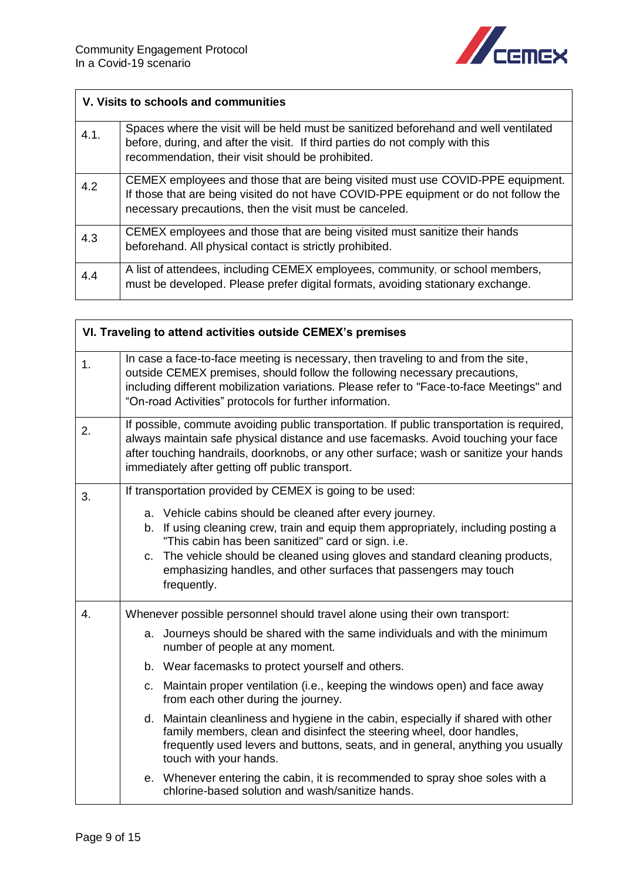

|      | V. Visits to schools and communities                                                                                                                                                                                              |  |
|------|-----------------------------------------------------------------------------------------------------------------------------------------------------------------------------------------------------------------------------------|--|
| 4.1. | Spaces where the visit will be held must be sanitized beforehand and well ventilated<br>before, during, and after the visit. If third parties do not comply with this<br>recommendation, their visit should be prohibited.        |  |
| 4.2  | CEMEX employees and those that are being visited must use COVID-PPE equipment.<br>If those that are being visited do not have COVID-PPE equipment or do not follow the<br>necessary precautions, then the visit must be canceled. |  |
| 4.3  | CEMEX employees and those that are being visited must sanitize their hands<br>beforehand. All physical contact is strictly prohibited.                                                                                            |  |
| 4.4  | A list of attendees, including CEMEX employees, community, or school members,<br>must be developed. Please prefer digital formats, avoiding stationary exchange.                                                                  |  |

<span id="page-8-0"></span>

| VI. Traveling to attend activities outside CEMEX's premises |                                                                                                                                                                                                                                                                                                                                                                           |  |
|-------------------------------------------------------------|---------------------------------------------------------------------------------------------------------------------------------------------------------------------------------------------------------------------------------------------------------------------------------------------------------------------------------------------------------------------------|--|
| 1.                                                          | In case a face-to-face meeting is necessary, then traveling to and from the site,<br>outside CEMEX premises, should follow the following necessary precautions,<br>including different mobilization variations. Please refer to "Face-to-face Meetings" and<br>"On-road Activities" protocols for further information.                                                    |  |
| 2.                                                          | If possible, commute avoiding public transportation. If public transportation is required,<br>always maintain safe physical distance and use facemasks. Avoid touching your face<br>after touching handrails, doorknobs, or any other surface; wash or sanitize your hands<br>immediately after getting off public transport.                                             |  |
| 3.                                                          | If transportation provided by CEMEX is going to be used:                                                                                                                                                                                                                                                                                                                  |  |
|                                                             | a. Vehicle cabins should be cleaned after every journey.<br>b. If using cleaning crew, train and equip them appropriately, including posting a<br>"This cabin has been sanitized" card or sign. i.e.<br>c. The vehicle should be cleaned using gloves and standard cleaning products,<br>emphasizing handles, and other surfaces that passengers may touch<br>frequently. |  |
| 4.                                                          | Whenever possible personnel should travel alone using their own transport:                                                                                                                                                                                                                                                                                                |  |
|                                                             | a. Journeys should be shared with the same individuals and with the minimum<br>number of people at any moment.                                                                                                                                                                                                                                                            |  |
|                                                             | b. Wear facemasks to protect yourself and others.                                                                                                                                                                                                                                                                                                                         |  |
|                                                             | c. Maintain proper ventilation (i.e., keeping the windows open) and face away<br>from each other during the journey.                                                                                                                                                                                                                                                      |  |
|                                                             | d. Maintain cleanliness and hygiene in the cabin, especially if shared with other<br>family members, clean and disinfect the steering wheel, door handles,<br>frequently used levers and buttons, seats, and in general, anything you usually<br>touch with your hands.                                                                                                   |  |
|                                                             | e. Whenever entering the cabin, it is recommended to spray shoe soles with a<br>chlorine-based solution and wash/sanitize hands.                                                                                                                                                                                                                                          |  |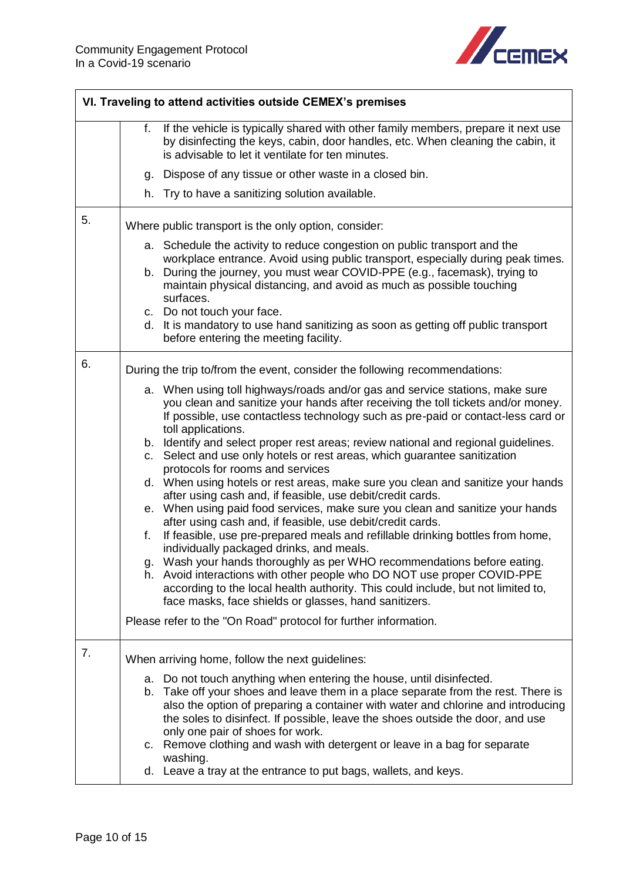

| VI. Traveling to attend activities outside CEMEX's premises |                                                                                                                                                                                                                                                                                                                                                                                                                                                                                                                                                                                                                                                                                                                                                                                                                                                                                                                                                                                                                                                                                                                                                                                                                                                                                                                                                                           |  |
|-------------------------------------------------------------|---------------------------------------------------------------------------------------------------------------------------------------------------------------------------------------------------------------------------------------------------------------------------------------------------------------------------------------------------------------------------------------------------------------------------------------------------------------------------------------------------------------------------------------------------------------------------------------------------------------------------------------------------------------------------------------------------------------------------------------------------------------------------------------------------------------------------------------------------------------------------------------------------------------------------------------------------------------------------------------------------------------------------------------------------------------------------------------------------------------------------------------------------------------------------------------------------------------------------------------------------------------------------------------------------------------------------------------------------------------------------|--|
|                                                             | If the vehicle is typically shared with other family members, prepare it next use<br>f.<br>by disinfecting the keys, cabin, door handles, etc. When cleaning the cabin, it<br>is advisable to let it ventilate for ten minutes.                                                                                                                                                                                                                                                                                                                                                                                                                                                                                                                                                                                                                                                                                                                                                                                                                                                                                                                                                                                                                                                                                                                                           |  |
|                                                             | Dispose of any tissue or other waste in a closed bin.<br>g.                                                                                                                                                                                                                                                                                                                                                                                                                                                                                                                                                                                                                                                                                                                                                                                                                                                                                                                                                                                                                                                                                                                                                                                                                                                                                                               |  |
|                                                             | Try to have a sanitizing solution available.<br>h.                                                                                                                                                                                                                                                                                                                                                                                                                                                                                                                                                                                                                                                                                                                                                                                                                                                                                                                                                                                                                                                                                                                                                                                                                                                                                                                        |  |
| 5.                                                          | Where public transport is the only option, consider:                                                                                                                                                                                                                                                                                                                                                                                                                                                                                                                                                                                                                                                                                                                                                                                                                                                                                                                                                                                                                                                                                                                                                                                                                                                                                                                      |  |
|                                                             | a. Schedule the activity to reduce congestion on public transport and the<br>workplace entrance. Avoid using public transport, especially during peak times.<br>b. During the journey, you must wear COVID-PPE (e.g., facemask), trying to<br>maintain physical distancing, and avoid as much as possible touching<br>surfaces.<br>c. Do not touch your face.<br>d. It is mandatory to use hand sanitizing as soon as getting off public transport<br>before entering the meeting facility.                                                                                                                                                                                                                                                                                                                                                                                                                                                                                                                                                                                                                                                                                                                                                                                                                                                                               |  |
| 6.                                                          | During the trip to/from the event, consider the following recommendations:<br>a. When using toll highways/roads and/or gas and service stations, make sure<br>you clean and sanitize your hands after receiving the toll tickets and/or money.<br>If possible, use contactless technology such as pre-paid or contact-less card or<br>toll applications.<br>b. Identify and select proper rest areas; review national and regional guidelines.<br>c. Select and use only hotels or rest areas, which guarantee sanitization<br>protocols for rooms and services<br>d. When using hotels or rest areas, make sure you clean and sanitize your hands<br>after using cash and, if feasible, use debit/credit cards.<br>e. When using paid food services, make sure you clean and sanitize your hands<br>after using cash and, if feasible, use debit/credit cards.<br>If feasible, use pre-prepared meals and refillable drinking bottles from home,<br>f.<br>individually packaged drinks, and meals.<br>g. Wash your hands thoroughly as per WHO recommendations before eating.<br>h. Avoid interactions with other people who DO NOT use proper COVID-PPE<br>according to the local health authority. This could include, but not limited to,<br>face masks, face shields or glasses, hand sanitizers.<br>Please refer to the "On Road" protocol for further information. |  |
| 7.                                                          | When arriving home, follow the next guidelines:<br>a. Do not touch anything when entering the house, until disinfected.<br>b. Take off your shoes and leave them in a place separate from the rest. There is<br>also the option of preparing a container with water and chlorine and introducing<br>the soles to disinfect. If possible, leave the shoes outside the door, and use<br>only one pair of shoes for work.<br>c. Remove clothing and wash with detergent or leave in a bag for separate<br>washing.<br>d. Leave a tray at the entrance to put bags, wallets, and keys.                                                                                                                                                                                                                                                                                                                                                                                                                                                                                                                                                                                                                                                                                                                                                                                        |  |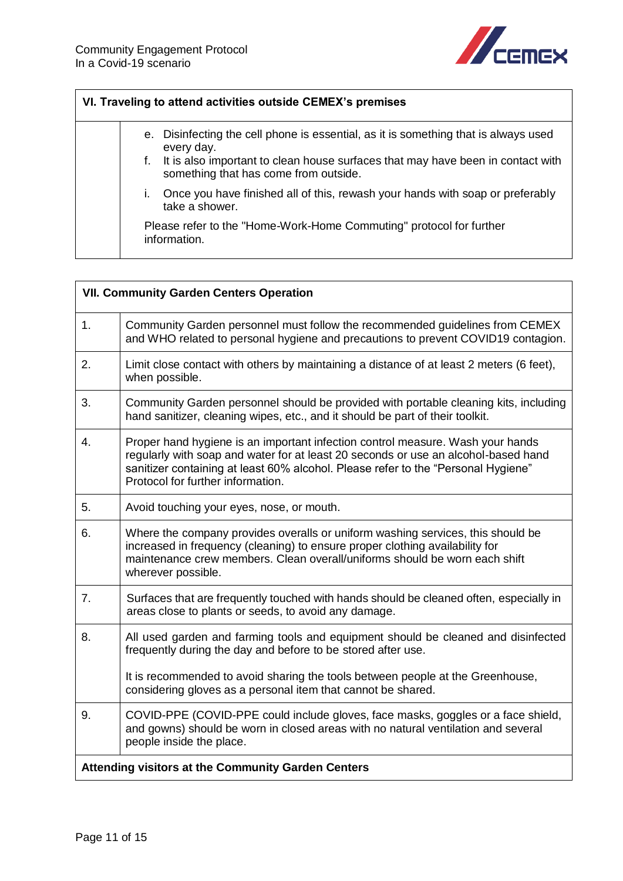

### **VI. Traveling to attend activities outside CEMEX's premises**

- e. Disinfecting the cell phone is essential, as it is something that is always used every day.
	- f. It is also important to clean house surfaces that may have been in contact with something that has come from outside.
	- i. Once you have finished all of this, rewash your hands with soap or preferably take a shower.

Please refer to the "Home-Work-Home Commuting" protocol for further information.

<span id="page-10-1"></span><span id="page-10-0"></span>

| <b>VII. Community Garden Centers Operation</b>     |                                                                                                                                                                                                                                                                                                |  |
|----------------------------------------------------|------------------------------------------------------------------------------------------------------------------------------------------------------------------------------------------------------------------------------------------------------------------------------------------------|--|
| 1.                                                 | Community Garden personnel must follow the recommended guidelines from CEMEX<br>and WHO related to personal hygiene and precautions to prevent COVID19 contagion.                                                                                                                              |  |
| 2.                                                 | Limit close contact with others by maintaining a distance of at least 2 meters (6 feet),<br>when possible.                                                                                                                                                                                     |  |
| 3.                                                 | Community Garden personnel should be provided with portable cleaning kits, including<br>hand sanitizer, cleaning wipes, etc., and it should be part of their toolkit.                                                                                                                          |  |
| 4.                                                 | Proper hand hygiene is an important infection control measure. Wash your hands<br>regularly with soap and water for at least 20 seconds or use an alcohol-based hand<br>sanitizer containing at least 60% alcohol. Please refer to the "Personal Hygiene"<br>Protocol for further information. |  |
| 5.                                                 | Avoid touching your eyes, nose, or mouth.                                                                                                                                                                                                                                                      |  |
| 6.                                                 | Where the company provides overalls or uniform washing services, this should be<br>increased in frequency (cleaning) to ensure proper clothing availability for<br>maintenance crew members. Clean overall/uniforms should be worn each shift<br>wherever possible.                            |  |
| 7.                                                 | Surfaces that are frequently touched with hands should be cleaned often, especially in<br>areas close to plants or seeds, to avoid any damage.                                                                                                                                                 |  |
| 8.                                                 | All used garden and farming tools and equipment should be cleaned and disinfected<br>frequently during the day and before to be stored after use.                                                                                                                                              |  |
|                                                    | It is recommended to avoid sharing the tools between people at the Greenhouse,<br>considering gloves as a personal item that cannot be shared.                                                                                                                                                 |  |
| 9.                                                 | COVID-PPE (COVID-PPE could include gloves, face masks, goggles or a face shield,<br>and gowns) should be worn in closed areas with no natural ventilation and several<br>people inside the place.                                                                                              |  |
| Attending visitors at the Community Garden Centers |                                                                                                                                                                                                                                                                                                |  |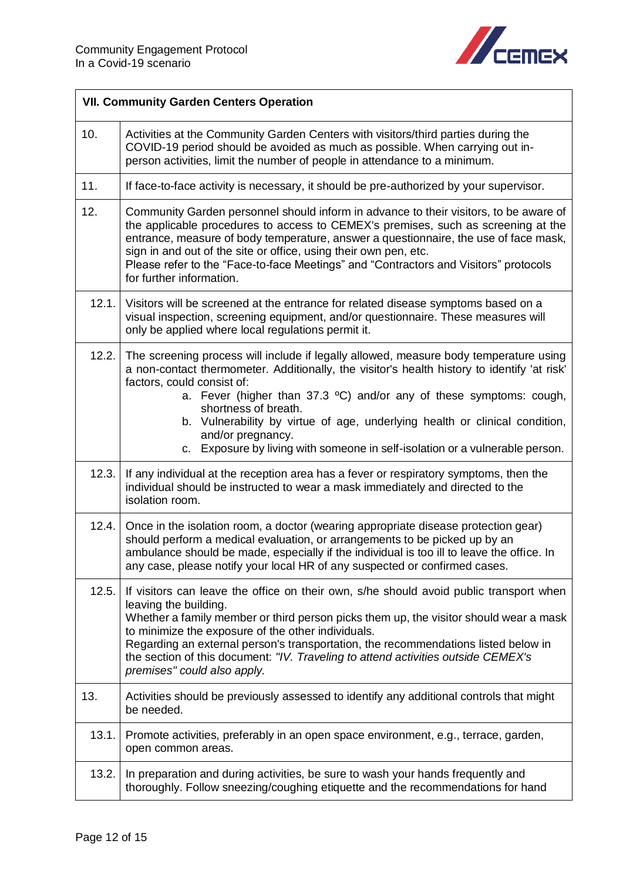

| <b>VII. Community Garden Centers Operation</b> |                                                                                                                                                                                                                                                                                                                                                                                                                                                                                                                 |
|------------------------------------------------|-----------------------------------------------------------------------------------------------------------------------------------------------------------------------------------------------------------------------------------------------------------------------------------------------------------------------------------------------------------------------------------------------------------------------------------------------------------------------------------------------------------------|
| 10.                                            | Activities at the Community Garden Centers with visitors/third parties during the<br>COVID-19 period should be avoided as much as possible. When carrying out in-<br>person activities, limit the number of people in attendance to a minimum.                                                                                                                                                                                                                                                                  |
| 11.                                            | If face-to-face activity is necessary, it should be pre-authorized by your supervisor.                                                                                                                                                                                                                                                                                                                                                                                                                          |
| 12.                                            | Community Garden personnel should inform in advance to their visitors, to be aware of<br>the applicable procedures to access to CEMEX's premises, such as screening at the<br>entrance, measure of body temperature, answer a questionnaire, the use of face mask,<br>sign in and out of the site or office, using their own pen, etc.<br>Please refer to the "Face-to-face Meetings" and "Contractors and Visitors" protocols<br>for further information.                                                      |
| 12.1.                                          | Visitors will be screened at the entrance for related disease symptoms based on a<br>visual inspection, screening equipment, and/or questionnaire. These measures will<br>only be applied where local regulations permit it.                                                                                                                                                                                                                                                                                    |
| 12.2.                                          | The screening process will include if legally allowed, measure body temperature using<br>a non-contact thermometer. Additionally, the visitor's health history to identify 'at risk'<br>factors, could consist of:<br>a. Fever (higher than 37.3 $^{\circ}$ C) and/or any of these symptoms: cough,<br>shortness of breath.<br>b. Vulnerability by virtue of age, underlying health or clinical condition,<br>and/or pregnancy.<br>c. Exposure by living with someone in self-isolation or a vulnerable person. |
| 12.3.                                          | If any individual at the reception area has a fever or respiratory symptoms, then the<br>individual should be instructed to wear a mask immediately and directed to the<br>isolation room.                                                                                                                                                                                                                                                                                                                      |
| 12.4.                                          | Once in the isolation room, a doctor (wearing appropriate disease protection gear)<br>should perform a medical evaluation, or arrangements to be picked up by an<br>ambulance should be made, especially if the individual is too ill to leave the office. In<br>any case, please notify your local HR of any suspected or confirmed cases.                                                                                                                                                                     |
| 12.5.                                          | If visitors can leave the office on their own, s/he should avoid public transport when<br>leaving the building.<br>Whether a family member or third person picks them up, the visitor should wear a mask<br>to minimize the exposure of the other individuals.<br>Regarding an external person's transportation, the recommendations listed below in<br>the section of this document: "IV. Traveling to attend activities outside CEMEX's<br>premises" could also apply.                                        |
| 13.                                            | Activities should be previously assessed to identify any additional controls that might<br>be needed.                                                                                                                                                                                                                                                                                                                                                                                                           |
| 13.1.                                          | Promote activities, preferably in an open space environment, e.g., terrace, garden,<br>open common areas.                                                                                                                                                                                                                                                                                                                                                                                                       |
| 13.2.                                          | In preparation and during activities, be sure to wash your hands frequently and<br>thoroughly. Follow sneezing/coughing etiquette and the recommendations for hand                                                                                                                                                                                                                                                                                                                                              |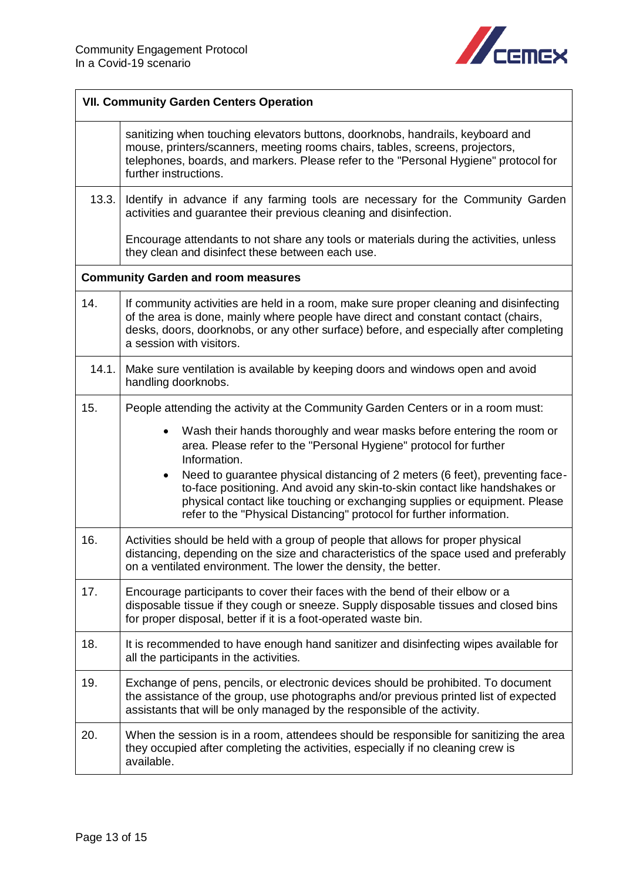

<span id="page-12-0"></span>

| <b>VII. Community Garden Centers Operation</b> |                                                                                                                                                                                                                                                                                                                               |
|------------------------------------------------|-------------------------------------------------------------------------------------------------------------------------------------------------------------------------------------------------------------------------------------------------------------------------------------------------------------------------------|
|                                                | sanitizing when touching elevators buttons, doorknobs, handrails, keyboard and<br>mouse, printers/scanners, meeting rooms chairs, tables, screens, projectors,<br>telephones, boards, and markers. Please refer to the "Personal Hygiene" protocol for<br>further instructions.                                               |
| 13.3.                                          | Identify in advance if any farming tools are necessary for the Community Garden<br>activities and guarantee their previous cleaning and disinfection.                                                                                                                                                                         |
|                                                | Encourage attendants to not share any tools or materials during the activities, unless<br>they clean and disinfect these between each use.                                                                                                                                                                                    |
|                                                | <b>Community Garden and room measures</b>                                                                                                                                                                                                                                                                                     |
| 14.                                            | If community activities are held in a room, make sure proper cleaning and disinfecting<br>of the area is done, mainly where people have direct and constant contact (chairs,<br>desks, doors, doorknobs, or any other surface) before, and especially after completing<br>a session with visitors.                            |
| 14.1.                                          | Make sure ventilation is available by keeping doors and windows open and avoid<br>handling doorknobs.                                                                                                                                                                                                                         |
| 15.                                            | People attending the activity at the Community Garden Centers or in a room must:                                                                                                                                                                                                                                              |
|                                                | Wash their hands thoroughly and wear masks before entering the room or<br>$\bullet$<br>area. Please refer to the "Personal Hygiene" protocol for further<br>Information.                                                                                                                                                      |
|                                                | Need to guarantee physical distancing of 2 meters (6 feet), preventing face-<br>$\bullet$<br>to-face positioning. And avoid any skin-to-skin contact like handshakes or<br>physical contact like touching or exchanging supplies or equipment. Please<br>refer to the "Physical Distancing" protocol for further information. |
| 16.                                            | Activities should be held with a group of people that allows for proper physical<br>distancing, depending on the size and characteristics of the space used and preferably<br>on a ventilated environment. The lower the density, the better.                                                                                 |
| 17.                                            | Encourage participants to cover their faces with the bend of their elbow or a<br>disposable tissue if they cough or sneeze. Supply disposable tissues and closed bins<br>for proper disposal, better if it is a foot-operated waste bin.                                                                                      |
| 18.                                            | It is recommended to have enough hand sanitizer and disinfecting wipes available for<br>all the participants in the activities.                                                                                                                                                                                               |
| 19.                                            | Exchange of pens, pencils, or electronic devices should be prohibited. To document<br>the assistance of the group, use photographs and/or previous printed list of expected<br>assistants that will be only managed by the responsible of the activity.                                                                       |
| 20.                                            | When the session is in a room, attendees should be responsible for sanitizing the area<br>they occupied after completing the activities, especially if no cleaning crew is<br>available.                                                                                                                                      |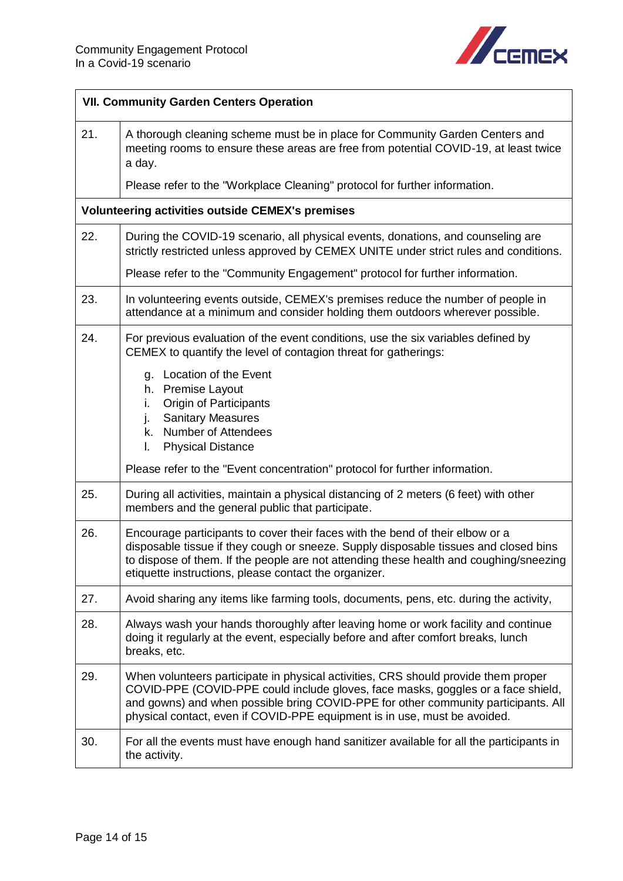

<span id="page-13-0"></span>

| <b>VII. Community Garden Centers Operation</b> |                                                                                                                                                                                                                                                                                                                                           |  |  |
|------------------------------------------------|-------------------------------------------------------------------------------------------------------------------------------------------------------------------------------------------------------------------------------------------------------------------------------------------------------------------------------------------|--|--|
| 21.                                            | A thorough cleaning scheme must be in place for Community Garden Centers and<br>meeting rooms to ensure these areas are free from potential COVID-19, at least twice<br>a day.                                                                                                                                                            |  |  |
|                                                | Please refer to the "Workplace Cleaning" protocol for further information.                                                                                                                                                                                                                                                                |  |  |
|                                                | <b>Volunteering activities outside CEMEX's premises</b>                                                                                                                                                                                                                                                                                   |  |  |
| 22.                                            | During the COVID-19 scenario, all physical events, donations, and counseling are<br>strictly restricted unless approved by CEMEX UNITE under strict rules and conditions.                                                                                                                                                                 |  |  |
|                                                | Please refer to the "Community Engagement" protocol for further information.                                                                                                                                                                                                                                                              |  |  |
| 23.                                            | In volunteering events outside, CEMEX's premises reduce the number of people in<br>attendance at a minimum and consider holding them outdoors wherever possible.                                                                                                                                                                          |  |  |
| 24.                                            | For previous evaluation of the event conditions, use the six variables defined by<br>CEMEX to quantify the level of contagion threat for gatherings:                                                                                                                                                                                      |  |  |
|                                                | g. Location of the Event<br><b>Premise Layout</b><br>h.<br><b>Origin of Participants</b><br>Ι.<br><b>Sanitary Measures</b><br>j.<br><b>Number of Attendees</b><br>k.<br><b>Physical Distance</b><br>I.                                                                                                                                    |  |  |
|                                                | Please refer to the "Event concentration" protocol for further information.                                                                                                                                                                                                                                                               |  |  |
| 25.                                            | During all activities, maintain a physical distancing of 2 meters (6 feet) with other<br>members and the general public that participate.                                                                                                                                                                                                 |  |  |
| 26.                                            | Encourage participants to cover their faces with the bend of their elbow or a<br>disposable tissue if they cough or sneeze. Supply disposable tissues and closed bins<br>to dispose of them. If the people are not attending these health and coughing/sneezing<br>etiquette instructions, please contact the organizer.                  |  |  |
| 27.                                            | Avoid sharing any items like farming tools, documents, pens, etc. during the activity,                                                                                                                                                                                                                                                    |  |  |
| 28.                                            | Always wash your hands thoroughly after leaving home or work facility and continue<br>doing it regularly at the event, especially before and after comfort breaks, lunch<br>breaks, etc.                                                                                                                                                  |  |  |
| 29.                                            | When volunteers participate in physical activities, CRS should provide them proper<br>COVID-PPE (COVID-PPE could include gloves, face masks, goggles or a face shield,<br>and gowns) and when possible bring COVID-PPE for other community participants. All<br>physical contact, even if COVID-PPE equipment is in use, must be avoided. |  |  |
| 30.                                            | For all the events must have enough hand sanitizer available for all the participants in<br>the activity.                                                                                                                                                                                                                                 |  |  |